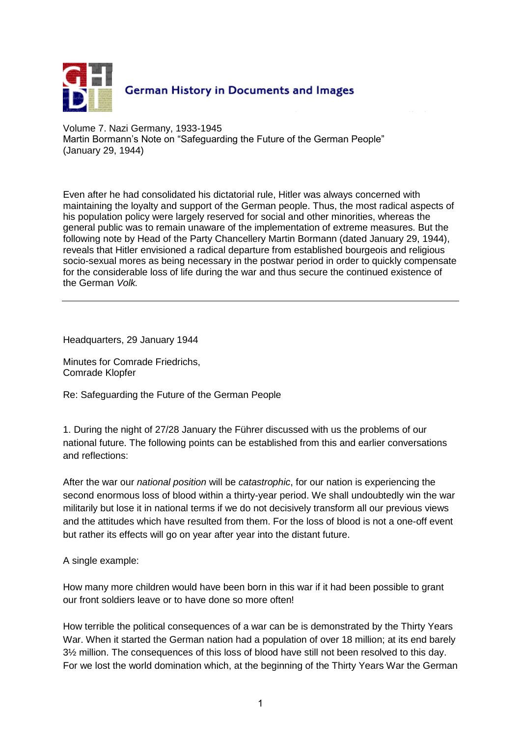

### **German History in Documents and Images**

Volume 7. Nazi Germany, 1933-1945 Martin Bormann's Note on "Safeguarding the Future of the German People" (January 29, 1944)

Even after he had consolidated his dictatorial rule, Hitler was always concerned with maintaining the loyalty and support of the German people. Thus, the most radical aspects of his population policy were largely reserved for social and other minorities, whereas the general public was to remain unaware of the implementation of extreme measures. But the following note by Head of the Party Chancellery Martin Bormann (dated January 29, 1944), reveals that Hitler envisioned a radical departure from established bourgeois and religious socio-sexual mores as being necessary in the postwar period in order to quickly compensate for the considerable loss of life during the war and thus secure the continued existence of the German *Volk.*

Headquarters, 29 January 1944

Minutes for Comrade Friedrichs, Comrade Klopfer

Re: Safeguarding the Future of the German People

1. During the night of 27/28 January the Führer discussed with us the problems of our national future. The following points can be established from this and earlier conversations and reflections:

After the war our *national position* will be *catastrophic*, for our nation is experiencing the second enormous loss of blood within a thirty-year period. We shall undoubtedly win the war militarily but lose it in national terms if we do not decisively transform all our previous views and the attitudes which have resulted from them. For the loss of blood is not a one-off event but rather its effects will go on year after year into the distant future.

A single example:

How many more children would have been born in this war if it had been possible to grant our front soldiers leave or to have done so more often!

How terrible the political consequences of a war can be is demonstrated by the Thirty Years War. When it started the German nation had a population of over 18 million; at its end barely 3½ million. The consequences of this loss of blood have still not been resolved to this day. For we lost the world domination which, at the beginning of the Thirty Years War the German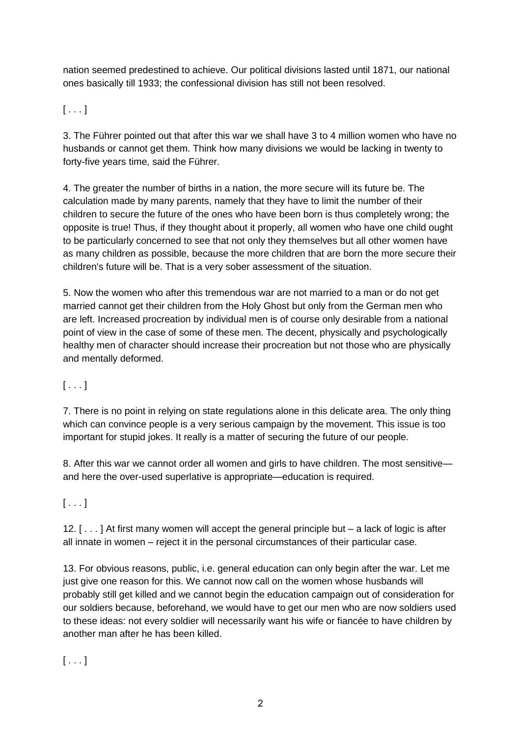nation seemed predestined to achieve. Our political divisions lasted until 1871, our national ones basically till 1933; the confessional division has still not been resolved.

# [ . . . ]

3. The Führer pointed out that after this war we shall have 3 to 4 million women who have no husbands or cannot get them. Think how many divisions we would be lacking in twenty to forty-five years time, said the Führer.

4. The greater the number of births in a nation, the more secure will its future be. The calculation made by many parents, namely that they have to limit the number of their children to secure the future of the ones who have been born is thus completely wrong; the opposite is true! Thus, if they thought about it properly, all women who have one child ought to be particularly concerned to see that not only they themselves but all other women have as many children as possible, because the more children that are born the more secure their children's future will be. That is a very sober assessment of the situation.

5. Now the women who after this tremendous war are not married to a man or do not get married cannot get their children from the Holy Ghost but only from the German men who are left. Increased procreation by individual men is of course only desirable from a national point of view in the case of some of these men. The decent, physically and psychologically healthy men of character should increase their procreation but not those who are physically and mentally deformed.

## $[ . . . ]$

7. There is no point in relying on state regulations alone in this delicate area. The only thing which can convince people is a very serious campaign by the movement. This issue is too important for stupid jokes. It really is a matter of securing the future of our people.

8. After this war we cannot order all women and girls to have children. The most sensitive and here the over-used superlative is appropriate—education is required.

## $[ . . . 1]$

12. [ . . . ] At first many women will accept the general principle but – a lack of logic is after all innate in women – reject it in the personal circumstances of their particular case.

13. For obvious reasons, public, i.e. general education can only begin after the war. Let me just give one reason for this. We cannot now call on the women whose husbands will probably still get killed and we cannot begin the education campaign out of consideration for our soldiers because, beforehand, we would have to get our men who are now soldiers used to these ideas: not every soldier will necessarily want his wife or fiancée to have children by another man after he has been killed.

 $[ . . . ]$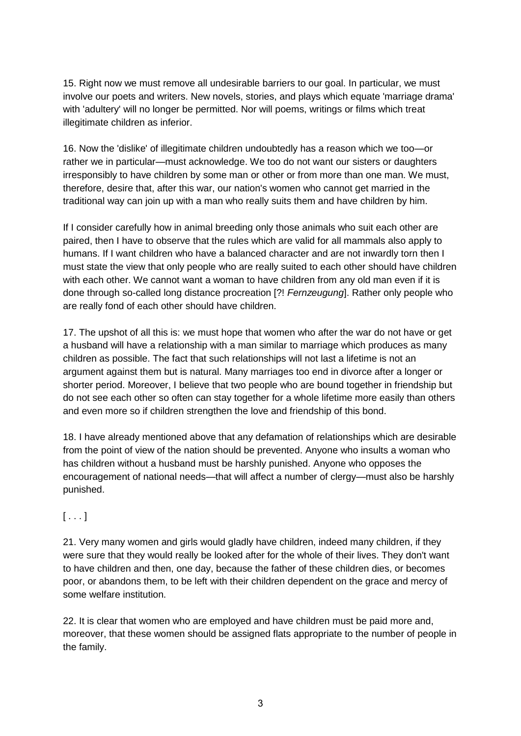15. Right now we must remove all undesirable barriers to our goal. In particular, we must involve our poets and writers. New novels, stories, and plays which equate 'marriage drama' with 'adultery' will no longer be permitted. Nor will poems, writings or films which treat illegitimate children as inferior.

16. Now the 'dislike' of illegitimate children undoubtedly has a reason which we too—or rather we in particular—must acknowledge. We too do not want our sisters or daughters irresponsibly to have children by some man or other or from more than one man. We must, therefore, desire that, after this war, our nation's women who cannot get married in the traditional way can join up with a man who really suits them and have children by him.

If I consider carefully how in animal breeding only those animals who suit each other are paired, then I have to observe that the rules which are valid for all mammals also apply to humans. If I want children who have a balanced character and are not inwardly torn then I must state the view that only people who are really suited to each other should have children with each other. We cannot want a woman to have children from any old man even if it is done through so-called long distance procreation [?! *Fernzeugung*]. Rather only people who are really fond of each other should have children.

17. The upshot of all this is: we must hope that women who after the war do not have or get a husband will have a relationship with a man similar to marriage which produces as many children as possible. The fact that such relationships will not last a lifetime is not an argument against them but is natural. Many marriages too end in divorce after a longer or shorter period. Moreover, I believe that two people who are bound together in friendship but do not see each other so often can stay together for a whole lifetime more easily than others and even more so if children strengthen the love and friendship of this bond.

18. I have already mentioned above that any defamation of relationships which are desirable from the point of view of the nation should be prevented. Anyone who insults a woman who has children without a husband must be harshly punished. Anyone who opposes the encouragement of national needs—that will affect a number of clergy—must also be harshly punished.

### $[ . . . ]$

21. Very many women and girls would gladly have children, indeed many children, if they were sure that they would really be looked after for the whole of their lives. They don't want to have children and then, one day, because the father of these children dies, or becomes poor, or abandons them, to be left with their children dependent on the grace and mercy of some welfare institution.

22. It is clear that women who are employed and have children must be paid more and, moreover, that these women should be assigned flats appropriate to the number of people in the family.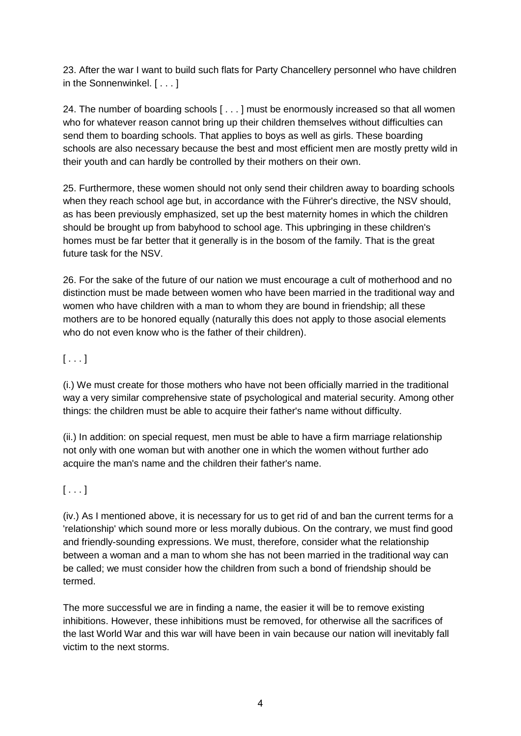23. After the war I want to build such flats for Party Chancellery personnel who have children in the Sonnenwinkel. [ . . . ]

24. The number of boarding schools [ . . . ] must be enormously increased so that all women who for whatever reason cannot bring up their children themselves without difficulties can send them to boarding schools. That applies to boys as well as girls. These boarding schools are also necessary because the best and most efficient men are mostly pretty wild in their youth and can hardly be controlled by their mothers on their own.

25. Furthermore, these women should not only send their children away to boarding schools when they reach school age but, in accordance with the Führer's directive, the NSV should, as has been previously emphasized, set up the best maternity homes in which the children should be brought up from babyhood to school age. This upbringing in these children's homes must be far better that it generally is in the bosom of the family. That is the great future task for the NSV.

26. For the sake of the future of our nation we must encourage a cult of motherhood and no distinction must be made between women who have been married in the traditional way and women who have children with a man to whom they are bound in friendship; all these mothers are to be honored equally (naturally this does not apply to those asocial elements who do not even know who is the father of their children).

### [ . . . ]

(i.) We must create for those mothers who have not been officially married in the traditional way a very similar comprehensive state of psychological and material security. Among other things: the children must be able to acquire their father's name without difficulty.

(ii.) In addition: on special request, men must be able to have a firm marriage relationship not only with one woman but with another one in which the women without further ado acquire the man's name and the children their father's name.

### $[ \ldots ]$

(iv.) As I mentioned above, it is necessary for us to get rid of and ban the current terms for a 'relationship' which sound more or less morally dubious. On the contrary, we must find good and friendly-sounding expressions. We must, therefore, consider what the relationship between a woman and a man to whom she has not been married in the traditional way can be called; we must consider how the children from such a bond of friendship should be termed.

The more successful we are in finding a name, the easier it will be to remove existing inhibitions. However, these inhibitions must be removed, for otherwise all the sacrifices of the last World War and this war will have been in vain because our nation will inevitably fall victim to the next storms.